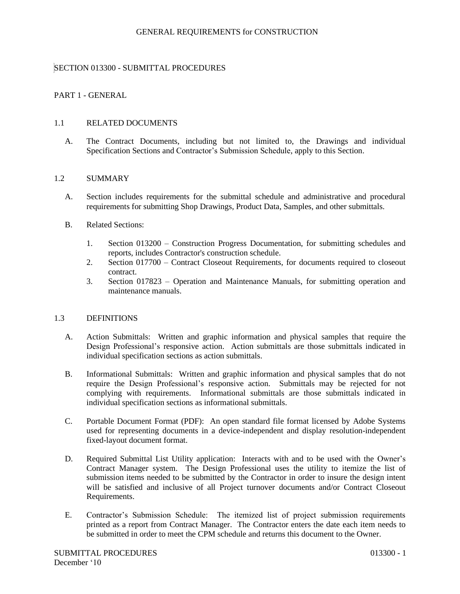# SECTION 013300 - SUBMITTAL PROCEDURES

## PART 1 - GENERAL

#### 1.1 RELATED DOCUMENTS

A. The Contract Documents, including but not limited to, the Drawings and individual Specification Sections and Contractor's Submission Schedule, apply to this Section.

#### 1.2 SUMMARY

- A. Section includes requirements for the submittal schedule and administrative and procedural requirements for submitting Shop Drawings, Product Data, Samples, and other submittals.
- B. Related Sections:
	- 1. Section 013200 Construction Progress Documentation, for submitting schedules and reports, includes Contractor's construction schedule.
	- 2. Section 017700 Contract Closeout Requirements, for documents required to closeout contract.
	- 3. Section 017823 Operation and Maintenance Manuals, for submitting operation and maintenance manuals.

# 1.3 DEFINITIONS

- A. Action Submittals: Written and graphic information and physical samples that require the Design Professional's responsive action. Action submittals are those submittals indicated in individual specification sections as action submittals.
- B. Informational Submittals: Written and graphic information and physical samples that do not require the Design Professional's responsive action. Submittals may be rejected for not complying with requirements. Informational submittals are those submittals indicated in individual specification sections as informational submittals.
- C. Portable Document Format (PDF): An open standard file format licensed by Adobe Systems used for representing documents in a device-independent and display resolution-independent fixed-layout document format.
- D. Required Submittal List Utility application: Interacts with and to be used with the Owner's Contract Manager system. The Design Professional uses the utility to itemize the list of submission items needed to be submitted by the Contractor in order to insure the design intent will be satisfied and inclusive of all Project turnover documents and/or Contract Closeout Requirements.
- E. Contractor's Submission Schedule: The itemized list of project submission requirements printed as a report from Contract Manager. The Contractor enters the date each item needs to be submitted in order to meet the CPM schedule and returns this document to the Owner.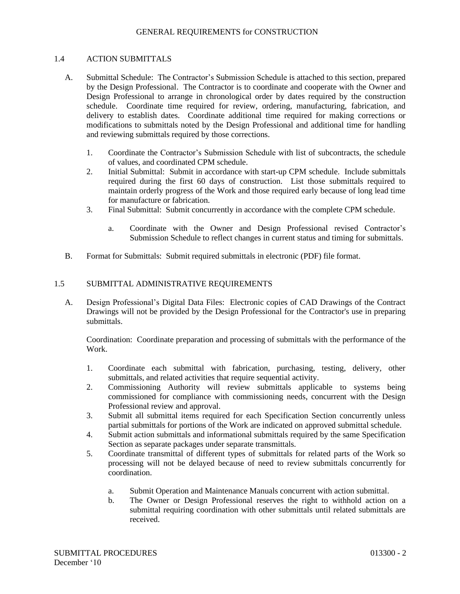## 1.4 ACTION SUBMITTALS

- A. Submittal Schedule: The Contractor's Submission Schedule is attached to this section, prepared by the Design Professional. The Contractor is to coordinate and cooperate with the Owner and Design Professional to arrange in chronological order by dates required by the construction schedule. Coordinate time required for review, ordering, manufacturing, fabrication, and delivery to establish dates. Coordinate additional time required for making corrections or modifications to submittals noted by the Design Professional and additional time for handling and reviewing submittals required by those corrections.
	- 1. Coordinate the Contractor's Submission Schedule with list of subcontracts, the schedule of values, and coordinated CPM schedule.
	- 2. Initial Submittal: Submit in accordance with start-up CPM schedule. Include submittals required during the first 60 days of construction. List those submittals required to maintain orderly progress of the Work and those required early because of long lead time for manufacture or fabrication.
	- 3. Final Submittal: Submit concurrently in accordance with the complete CPM schedule.
		- a. Coordinate with the Owner and Design Professional revised Contractor's Submission Schedule to reflect changes in current status and timing for submittals.
- B. Format for Submittals: Submit required submittals in electronic (PDF) file format.

## 1.5 SUBMITTAL ADMINISTRATIVE REQUIREMENTS

A. Design Professional's Digital Data Files: Electronic copies of CAD Drawings of the Contract Drawings will not be provided by the Design Professional for the Contractor's use in preparing submittals.

Coordination: Coordinate preparation and processing of submittals with the performance of the Work.

- 1. Coordinate each submittal with fabrication, purchasing, testing, delivery, other submittals, and related activities that require sequential activity.
- 2. Commissioning Authority will review submittals applicable to systems being commissioned for compliance with commissioning needs, concurrent with the Design Professional review and approval.
- 3. Submit all submittal items required for each Specification Section concurrently unless partial submittals for portions of the Work are indicated on approved submittal schedule.
- 4. Submit action submittals and informational submittals required by the same Specification Section as separate packages under separate transmittals.
- 5. Coordinate transmittal of different types of submittals for related parts of the Work so processing will not be delayed because of need to review submittals concurrently for coordination.
	- a. Submit Operation and Maintenance Manuals concurrent with action submittal.
	- b. The Owner or Design Professional reserves the right to withhold action on a submittal requiring coordination with other submittals until related submittals are received.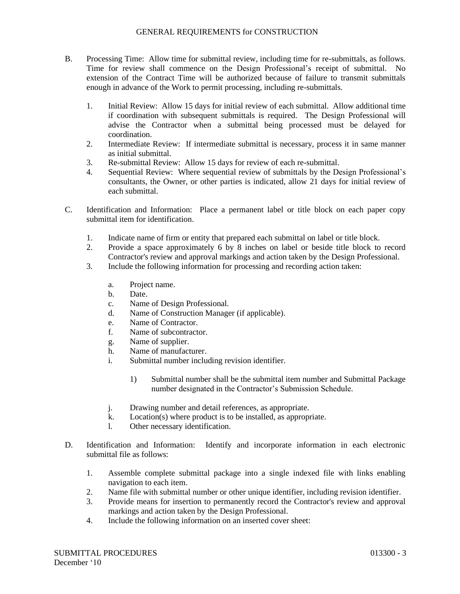- B. Processing Time: Allow time for submittal review, including time for re-submittals, as follows. Time for review shall commence on the Design Professional's receipt of submittal. No extension of the Contract Time will be authorized because of failure to transmit submittals enough in advance of the Work to permit processing, including re-submittals.
	- 1. Initial Review: Allow 15 days for initial review of each submittal. Allow additional time if coordination with subsequent submittals is required. The Design Professional will advise the Contractor when a submittal being processed must be delayed for coordination.
	- 2. Intermediate Review: If intermediate submittal is necessary, process it in same manner as initial submittal.
	- 3. Re-submittal Review: Allow 15 days for review of each re-submittal.
	- 4. Sequential Review: Where sequential review of submittals by the Design Professional's consultants, the Owner, or other parties is indicated, allow 21 days for initial review of each submittal.
- C. Identification and Information: Place a permanent label or title block on each paper copy submittal item for identification.
	- 1. Indicate name of firm or entity that prepared each submittal on label or title block.
	- 2. Provide a space approximately 6 by 8 inches on label or beside title block to record Contractor's review and approval markings and action taken by the Design Professional.
	- 3. Include the following information for processing and recording action taken:
		- a. Project name.
		- b. Date.
		- c. Name of Design Professional.
		- d. Name of Construction Manager (if applicable).
		- e. Name of Contractor.
		- f. Name of subcontractor.
		- g. Name of supplier.
		- h. Name of manufacturer.
		- i. Submittal number including revision identifier.
			- 1) Submittal number shall be the submittal item number and Submittal Package number designated in the Contractor's Submission Schedule.
		- j. Drawing number and detail references, as appropriate.
		- k. Location(s) where product is to be installed, as appropriate.
		- l. Other necessary identification.
- D. Identification and Information: Identify and incorporate information in each electronic submittal file as follows:
	- 1. Assemble complete submittal package into a single indexed file with links enabling navigation to each item.
	- 2. Name file with submittal number or other unique identifier, including revision identifier.
	- 3. Provide means for insertion to permanently record the Contractor's review and approval markings and action taken by the Design Professional.
	- 4. Include the following information on an inserted cover sheet: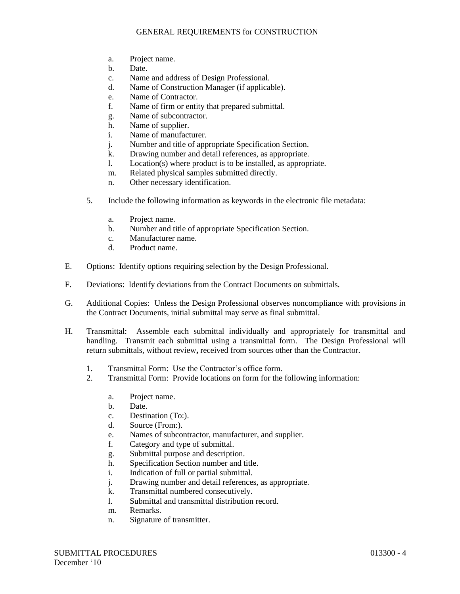- a. Project name.
- b. Date.
- c. Name and address of Design Professional.
- d. Name of Construction Manager (if applicable).
- e. Name of Contractor.
- f. Name of firm or entity that prepared submittal.
- g. Name of subcontractor.
- h. Name of supplier.
- i. Name of manufacturer.
- j. Number and title of appropriate Specification Section.
- k. Drawing number and detail references, as appropriate.
- l. Location(s) where product is to be installed, as appropriate.
- m. Related physical samples submitted directly.
- n. Other necessary identification.
- 5. Include the following information as keywords in the electronic file metadata:
	- a. Project name.
	- b. Number and title of appropriate Specification Section.
	- c. Manufacturer name.
	- d. Product name.
- E. Options: Identify options requiring selection by the Design Professional.
- F. Deviations: Identify deviations from the Contract Documents on submittals.
- G. Additional Copies: Unless the Design Professional observes noncompliance with provisions in the Contract Documents, initial submittal may serve as final submittal.
- H. Transmittal: Assemble each submittal individually and appropriately for transmittal and handling. Transmit each submittal using a transmittal form. The Design Professional will return submittals, without review**,** received from sources other than the Contractor.
	- 1. Transmittal Form: Use the Contractor's office form.
	- 2. Transmittal Form: Provide locations on form for the following information:
		- a. Project name.
		- b. Date.
		- c. Destination (To:).
		- d. Source (From:).
		- e. Names of subcontractor, manufacturer, and supplier.
		- f. Category and type of submittal.
		- g. Submittal purpose and description.
		- h. Specification Section number and title.
		- i. Indication of full or partial submittal.
		- j. Drawing number and detail references, as appropriate.
		- k. Transmittal numbered consecutively.
		- l. Submittal and transmittal distribution record.
		- m. Remarks.
		- n. Signature of transmitter.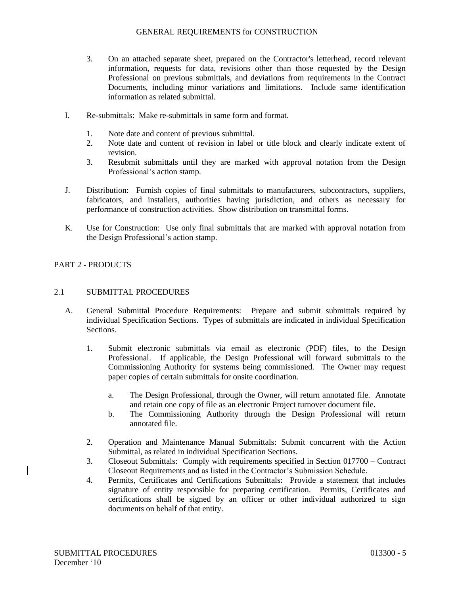- 3. On an attached separate sheet, prepared on the Contractor's letterhead, record relevant information, requests for data, revisions other than those requested by the Design Professional on previous submittals, and deviations from requirements in the Contract Documents, including minor variations and limitations. Include same identification information as related submittal.
- I. Re-submittals: Make re-submittals in same form and format.
	- 1. Note date and content of previous submittal.
	- 2. Note date and content of revision in label or title block and clearly indicate extent of revision.
	- 3. Resubmit submittals until they are marked with approval notation from the Design Professional's action stamp.
- J. Distribution: Furnish copies of final submittals to manufacturers, subcontractors, suppliers, fabricators, and installers, authorities having jurisdiction, and others as necessary for performance of construction activities. Show distribution on transmittal forms.
- K. Use for Construction: Use only final submittals that are marked with approval notation from the Design Professional's action stamp.

# PART 2 - PRODUCTS

## 2.1 SUBMITTAL PROCEDURES

- A. General Submittal Procedure Requirements: Prepare and submit submittals required by individual Specification Sections. Types of submittals are indicated in individual Specification Sections.
	- 1. Submit electronic submittals via email as electronic (PDF) files, to the Design Professional. If applicable, the Design Professional will forward submittals to the Commissioning Authority for systems being commissioned. The Owner may request paper copies of certain submittals for onsite coordination.
		- a. The Design Professional, through the Owner, will return annotated file. Annotate and retain one copy of file as an electronic Project turnover document file.
		- b. The Commissioning Authority through the Design Professional will return annotated file.
	- 2. Operation and Maintenance Manual Submittals: Submit concurrent with the Action Submittal, as related in individual Specification Sections.
	- 3. Closeout Submittals: Comply with requirements specified in Section 017700 Contract Closeout Requirements and as listed in the Contractor's Submission Schedule.
	- 4. Permits, Certificates and Certifications Submittals: Provide a statement that includes signature of entity responsible for preparing certification. Permits, Certificates and certifications shall be signed by an officer or other individual authorized to sign documents on behalf of that entity.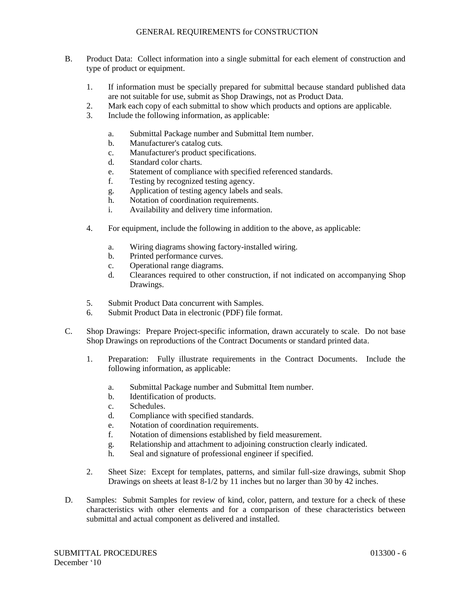- B. Product Data: Collect information into a single submittal for each element of construction and type of product or equipment.
	- 1. If information must be specially prepared for submittal because standard published data are not suitable for use, submit as Shop Drawings, not as Product Data.
	- 2. Mark each copy of each submittal to show which products and options are applicable.
	- 3. Include the following information, as applicable:
		- a. Submittal Package number and Submittal Item number.
		- b. Manufacturer's catalog cuts.
		- c. Manufacturer's product specifications.
		- d. Standard color charts.
		- e. Statement of compliance with specified referenced standards.
		- f. Testing by recognized testing agency.
		- g. Application of testing agency labels and seals.
		- h. Notation of coordination requirements.
		- i. Availability and delivery time information.
	- 4. For equipment, include the following in addition to the above, as applicable:
		- a. Wiring diagrams showing factory-installed wiring.
		- b. Printed performance curves.
		- c. Operational range diagrams.
		- d. Clearances required to other construction, if not indicated on accompanying Shop Drawings.
	- 5. Submit Product Data concurrent with Samples.
	- 6. Submit Product Data in electronic (PDF) file format.
- C. Shop Drawings: Prepare Project-specific information, drawn accurately to scale. Do not base Shop Drawings on reproductions of the Contract Documents or standard printed data.
	- 1. Preparation: Fully illustrate requirements in the Contract Documents. Include the following information, as applicable:
		- a. Submittal Package number and Submittal Item number.
		- b. Identification of products.
		- c. Schedules.
		- d. Compliance with specified standards.
		- e. Notation of coordination requirements.
		- f. Notation of dimensions established by field measurement.
		- g. Relationship and attachment to adjoining construction clearly indicated.
		- h. Seal and signature of professional engineer if specified.
	- 2. Sheet Size: Except for templates, patterns, and similar full-size drawings, submit Shop Drawings on sheets at least 8-1/2 by 11 inches but no larger than 30 by 42 inches.
- D. Samples: Submit Samples for review of kind, color, pattern, and texture for a check of these characteristics with other elements and for a comparison of these characteristics between submittal and actual component as delivered and installed.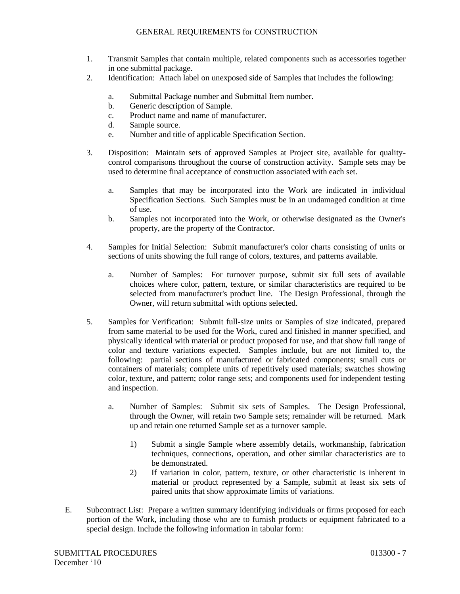- 1. Transmit Samples that contain multiple, related components such as accessories together in one submittal package.
- 2. Identification: Attach label on unexposed side of Samples that includes the following:
	- a. Submittal Package number and Submittal Item number.
	- b. Generic description of Sample.
	- c. Product name and name of manufacturer.
	- d. Sample source.
	- e. Number and title of applicable Specification Section.
- 3. Disposition: Maintain sets of approved Samples at Project site, available for qualitycontrol comparisons throughout the course of construction activity. Sample sets may be used to determine final acceptance of construction associated with each set.
	- a. Samples that may be incorporated into the Work are indicated in individual Specification Sections. Such Samples must be in an undamaged condition at time of use.
	- b. Samples not incorporated into the Work, or otherwise designated as the Owner's property, are the property of the Contractor.
- 4. Samples for Initial Selection: Submit manufacturer's color charts consisting of units or sections of units showing the full range of colors, textures, and patterns available.
	- a. Number of Samples: For turnover purpose, submit six full sets of available choices where color, pattern, texture, or similar characteristics are required to be selected from manufacturer's product line. The Design Professional, through the Owner, will return submittal with options selected.
- 5. Samples for Verification: Submit full-size units or Samples of size indicated, prepared from same material to be used for the Work, cured and finished in manner specified, and physically identical with material or product proposed for use, and that show full range of color and texture variations expected. Samples include, but are not limited to, the following: partial sections of manufactured or fabricated components; small cuts or containers of materials; complete units of repetitively used materials; swatches showing color, texture, and pattern; color range sets; and components used for independent testing and inspection.
	- a. Number of Samples: Submit six sets of Samples. The Design Professional, through the Owner, will retain two Sample sets; remainder will be returned. Mark up and retain one returned Sample set as a turnover sample.
		- 1) Submit a single Sample where assembly details, workmanship, fabrication techniques, connections, operation, and other similar characteristics are to be demonstrated.
		- 2) If variation in color, pattern, texture, or other characteristic is inherent in material or product represented by a Sample, submit at least six sets of paired units that show approximate limits of variations.
- E. Subcontract List: Prepare a written summary identifying individuals or firms proposed for each portion of the Work, including those who are to furnish products or equipment fabricated to a special design. Include the following information in tabular form: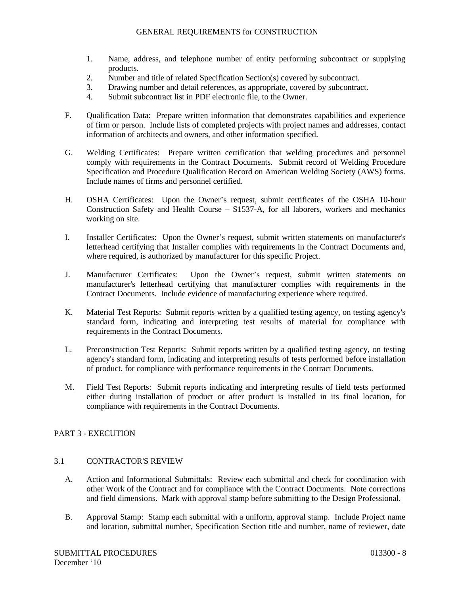- 1. Name, address, and telephone number of entity performing subcontract or supplying products.
- 2. Number and title of related Specification Section(s) covered by subcontract.
- 3. Drawing number and detail references, as appropriate, covered by subcontract.
- 4. Submit subcontract list in PDF electronic file, to the Owner.
- F. Qualification Data: Prepare written information that demonstrates capabilities and experience of firm or person. Include lists of completed projects with project names and addresses, contact information of architects and owners, and other information specified.
- G. Welding Certificates: Prepare written certification that welding procedures and personnel comply with requirements in the Contract Documents. Submit record of Welding Procedure Specification and Procedure Qualification Record on American Welding Society (AWS) forms. Include names of firms and personnel certified.
- H. OSHA Certificates: Upon the Owner's request, submit certificates of the OSHA 10-hour Construction Safety and Health Course – S1537-A, for all laborers, workers and mechanics working on site.
- I. Installer Certificates: Upon the Owner's request, submit written statements on manufacturer's letterhead certifying that Installer complies with requirements in the Contract Documents and, where required, is authorized by manufacturer for this specific Project.
- J. Manufacturer Certificates: Upon the Owner's request, submit written statements on manufacturer's letterhead certifying that manufacturer complies with requirements in the Contract Documents. Include evidence of manufacturing experience where required.
- K. Material Test Reports: Submit reports written by a qualified testing agency, on testing agency's standard form, indicating and interpreting test results of material for compliance with requirements in the Contract Documents.
- L. Preconstruction Test Reports: Submit reports written by a qualified testing agency, on testing agency's standard form, indicating and interpreting results of tests performed before installation of product, for compliance with performance requirements in the Contract Documents.
- M. Field Test Reports: Submit reports indicating and interpreting results of field tests performed either during installation of product or after product is installed in its final location, for compliance with requirements in the Contract Documents.

# PART 3 - EXECUTION

#### 3.1 CONTRACTOR'S REVIEW

- A. Action and Informational Submittals: Review each submittal and check for coordination with other Work of the Contract and for compliance with the Contract Documents. Note corrections and field dimensions. Mark with approval stamp before submitting to the Design Professional.
- B. Approval Stamp: Stamp each submittal with a uniform, approval stamp. Include Project name and location, submittal number, Specification Section title and number, name of reviewer, date